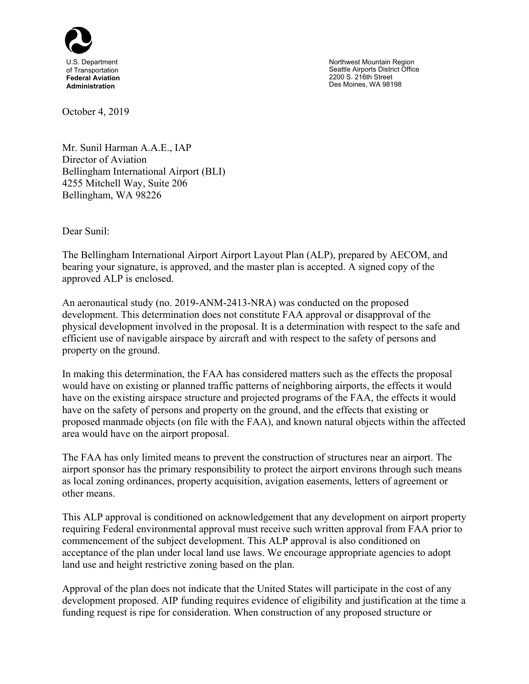

Northwest Mountain Region Seattle Airports District Office 2200 S. 216th Street Des Moines, WA 98198

October 4, 2019

Mr. Sunil Harman A.A.E., IAP Director of Aviation Bellingham International Airport (BLI) 4255 Mitchell Way, Suite 206 Bellingham, WA 98226

Dear Sunil:

The Bellingham International Airport Airport Layout Plan (ALP), prepared by AECOM, and bearing your signature, is approved, and the master plan is accepted. A signed copy of the approved ALP is enclosed.

An aeronautical study (no. 2019-ANM-2413-NRA) was conducted on the proposed development. This determination does not constitute FAA approval or disapproval of the physical development involved in the proposal. It is a determination with respect to the safe and efficient use of navigable airspace by aircraft and with respect to the safety of persons and property on the ground.

In making this determination, the FAA has considered matters such as the effects the proposal would have on existing or planned traffic patterns of neighboring airports, the effects it would have on the existing airspace structure and projected programs of the FAA, the effects it would have on the safety of persons and property on the ground, and the effects that existing or proposed manmade objects (on file with the FAA), and known natural objects within the affected area would have on the airport proposal.

The FAA has only limited means to prevent the construction of structures near an airport. The airport sponsor has the primary responsibility to protect the airport environs through such means as local zoning ordinances, property acquisition, avigation easements, letters of agreement or other means.

This ALP approval is conditioned on acknowledgement that any development on airport property requiring Federal environmental approval must receive such written approval from FAA prior to commencement of the subject development. This ALP approval is also conditioned on acceptance of the plan under local land use laws. We encourage appropriate agencies to adopt land use and height restrictive zoning based on the plan.

Approval of the plan does not indicate that the United States will participate in the cost of any development proposed. AIP funding requires evidence of eligibility and justification at the time a funding request is ripe for consideration. When construction of any proposed structure or